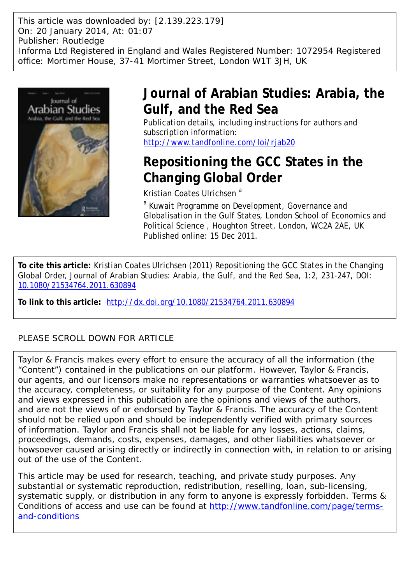This article was downloaded by: [2.139.223.179] On: 20 January 2014, At: 01:07 Publisher: Routledge Informa Ltd Registered in England and Wales Registered Number: 1072954 Registered office: Mortimer House, 37-41 Mortimer Street, London W1T 3JH, UK



# **Journal of Arabian Studies: Arabia, the Gulf, and the Red Sea**

Publication details, including instructions for authors and subscription information: <http://www.tandfonline.com/loi/rjab20>

## **Repositioning the GCC States in the Changing Global Order**

Kristian Coates Ulrichsen<sup>a</sup>

<sup>a</sup> Kuwait Programme on Development, Governance and Globalisation in the Gulf States, London School of Economics and Political Science , Houghton Street, London, WC2A 2AE, UK Published online: 15 Dec 2011.

**To cite this article:** Kristian Coates Ulrichsen (2011) Repositioning the GCC States in the Changing Global Order, Journal of Arabian Studies: Arabia, the Gulf, and the Red Sea, 1:2, 231-247, DOI: [10.1080/21534764.2011.630894](http://www.tandfonline.com/action/showCitFormats?doi=10.1080/21534764.2011.630894)

**To link to this article:** <http://dx.doi.org/10.1080/21534764.2011.630894>

### PLEASE SCROLL DOWN FOR ARTICLE

Taylor & Francis makes every effort to ensure the accuracy of all the information (the "Content") contained in the publications on our platform. However, Taylor & Francis, our agents, and our licensors make no representations or warranties whatsoever as to the accuracy, completeness, or suitability for any purpose of the Content. Any opinions and views expressed in this publication are the opinions and views of the authors, and are not the views of or endorsed by Taylor & Francis. The accuracy of the Content should not be relied upon and should be independently verified with primary sources of information. Taylor and Francis shall not be liable for any losses, actions, claims, proceedings, demands, costs, expenses, damages, and other liabilities whatsoever or howsoever caused arising directly or indirectly in connection with, in relation to or arising out of the use of the Content.

This article may be used for research, teaching, and private study purposes. Any substantial or systematic reproduction, redistribution, reselling, loan, sub-licensing, systematic supply, or distribution in any form to anyone is expressly forbidden. Terms & Conditions of access and use can be found at [http://www.tandfonline.com/page/terms](http://www.tandfonline.com/page/terms-and-conditions)[and-conditions](http://www.tandfonline.com/page/terms-and-conditions)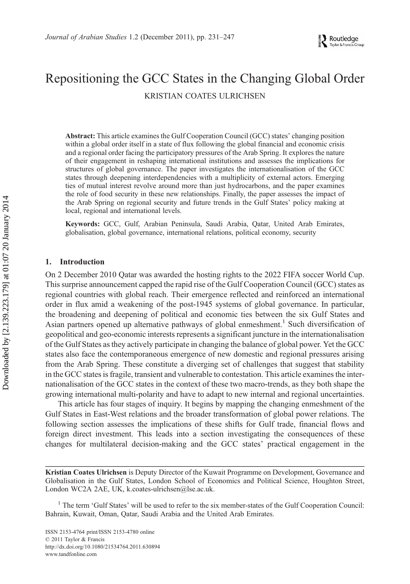### Repositioning the GCC States in the Changing Global Order KRISTIAN COATES ULRICHSEN

Abstract: This article examines the Gulf Cooperation Council (GCC) states' changing position within a global order itself in a state of flux following the global financial and economic crisis and a regional order facing the participatory pressures of the Arab Spring. It explores the nature of their engagement in reshaping international institutions and assesses the implications for structures of global governance. The paper investigates the internationalisation of the GCC states through deepening interdependencies with a multiplicity of external actors. Emerging ties of mutual interest revolve around more than just hydrocarbons, and the paper examines the role of food security in these new relationships. Finally, the paper assesses the impact of the Arab Spring on regional security and future trends in the Gulf States' policy making at local, regional and international levels.

Keywords: GCC, Gulf, Arabian Peninsula, Saudi Arabia, Qatar, United Arab Emirates, globalisation, global governance, international relations, political economy, security

#### 1. Introduction

On 2 December 2010 Qatar was awarded the hosting rights to the 2022 FIFA soccer World Cup. This surprise announcement capped the rapid rise of the Gulf Cooperation Council (GCC) states as regional countries with global reach. Their emergence reflected and reinforced an international order in flux amid a weakening of the post-1945 systems of global governance. In particular, the broadening and deepening of political and economic ties between the six Gulf States and Asian partners opened up alternative pathways of global enmeshment.<sup>1</sup> Such diversification of geopolitical and geo-economic interests represents a significant juncture in the internationalisation of the Gulf States as they actively participate in changing the balance of global power. Yet the GCC states also face the contemporaneous emergence of new domestic and regional pressures arising from the Arab Spring. These constitute a diverging set of challenges that suggest that stability in the GCC states is fragile, transient and vulnerable to contestation. This article examines the internationalisation of the GCC states in the context of these two macro-trends, as they both shape the growing international multi-polarity and have to adapt to new internal and regional uncertainties.

This article has four stages of inquiry. It begins by mapping the changing enmeshment of the Gulf States in East-West relations and the broader transformation of global power relations. The following section assesses the implications of these shifts for Gulf trade, financial flows and foreign direct investment. This leads into a section investigating the consequences of these changes for multilateral decision-making and the GCC states' practical engagement in the

Kristian Coates Ulrichsen is Deputy Director of the Kuwait Programme on Development, Governance and Globalisation in the Gulf States, London School of Economics and Political Science, Houghton Street, London WC2A 2AE, UK, k.coates-ulrichsen@lse.ac.uk.

<sup>&</sup>lt;sup>1</sup> The term 'Gulf States' will be used to refer to the six member-states of the Gulf Cooperation Council: Bahrain, Kuwait, Oman, Qatar, Saudi Arabia and the United Arab Emirates.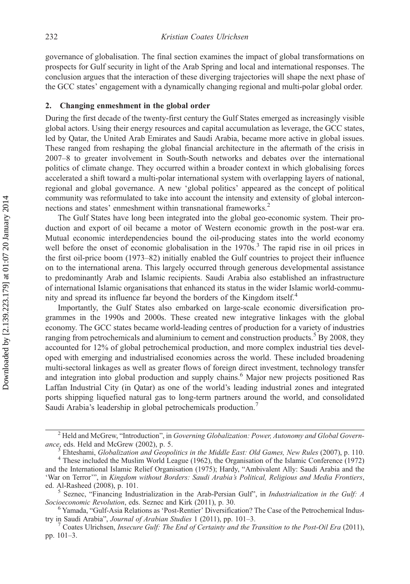governance of globalisation. The final section examines the impact of global transformations on prospects for Gulf security in light of the Arab Spring and local and international responses. The conclusion argues that the interaction of these diverging trajectories will shape the next phase of the GCC states' engagement with a dynamically changing regional and multi-polar global order.

#### 2. Changing enmeshment in the global order

During the first decade of the twenty-first century the Gulf States emerged as increasingly visible global actors. Using their energy resources and capital accumulation as leverage, the GCC states, led by Qatar, the United Arab Emirates and Saudi Arabia, became more active in global issues. These ranged from reshaping the global financial architecture in the aftermath of the crisis in 2007–8 to greater involvement in South-South networks and debates over the international politics of climate change. They occurred within a broader context in which globalising forces accelerated a shift toward a multi-polar international system with overlapping layers of national, regional and global governance. A new 'global politics' appeared as the concept of political community was reformulated to take into account the intensity and extensity of global interconnections and states' enmeshment within transnational frameworks.<sup>2</sup>

The Gulf States have long been integrated into the global geo-economic system. Their production and export of oil became a motor of Western economic growth in the post-war era. Mutual economic interdependencies bound the oil-producing states into the world economy well before the onset of economic globalisation in the  $1970s<sup>3</sup>$ . The rapid rise in oil prices in the first oil-price boom (1973–82) initially enabled the Gulf countries to project their influence on to the international arena. This largely occurred through generous developmental assistance to predominantly Arab and Islamic recipients. Saudi Arabia also established an infrastructure of international Islamic organisations that enhanced its status in the wider Islamic world-community and spread its influence far beyond the borders of the Kingdom itself.<sup>4</sup>

Importantly, the Gulf States also embarked on large-scale economic diversification programmes in the 1990s and 2000s. These created new integrative linkages with the global economy. The GCC states became world-leading centres of production for a variety of industries ranging from petrochemicals and aluminium to cement and construction products.<sup>5</sup> By 2008, they accounted for 12% of global petrochemical production, and more complex industrial ties developed with emerging and industrialised economies across the world. These included broadening multi-sectoral linkages as well as greater flows of foreign direct investment, technology transfer and integration into global production and supply chains.<sup>6</sup> Major new projects positioned Ras Laffan Industrial City (in Qatar) as one of the world's leading industrial zones and integrated ports shipping liquefied natural gas to long-term partners around the world, and consolidated Saudi Arabia's leadership in global petrochemicals production.<sup>7</sup>

<sup>&</sup>lt;sup>2</sup> Held and McGrew, "Introduction", in Governing Globalization: Power, Autonomy and Global Governance, eds. Held and McGrew (2002), p. 5.<br><sup>3</sup> Ehteshami, *Globalization and Geopolitics in the Middle East: Old Games, New Rules* (2007), p. 110.

<sup>&</sup>lt;sup>4</sup> These included the Muslim World League (1962), the Organisation of the Islamic Conference (1972) and the International Islamic Relief Organisation (1975); Hardy, "Ambivalent Ally: Saudi Arabia and the 'War on Terror'", in Kingdom without Borders: Saudi Arabia's Political, Religious and Media Frontiers, ed. Al-Rasheed (2008), p. 101.

<sup>&</sup>lt;sup>5</sup> Seznec, "Financing Industrialization in the Arab-Persian Gulf", in *Industrialization in the Gulf: A* Socioeconomic Revolution, eds. Seznec and Kirk (2011), p. 30.

 $6$  Yamada, "Gulf-Asia Relations as 'Post-Rentier' Diversification? The Case of the Petrochemical Industry in Saudi Arabia", Journal of Arabian Studies 1 (2011), pp. 101–3.<br><sup>7</sup> Coates Ulrichsen, *Insecure Gulf: The End of Certainty and the Transition to the Post-Oil Era* (2011),

pp. 101–3.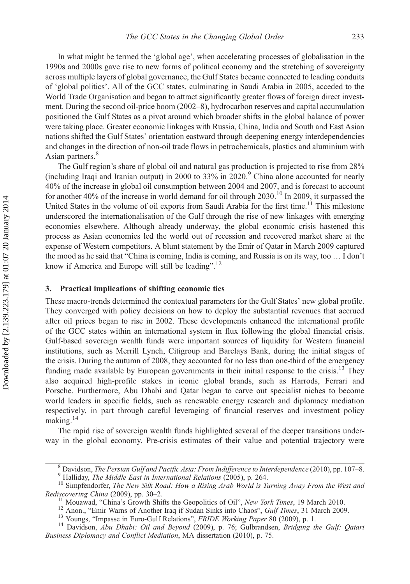In what might be termed the 'global age', when accelerating processes of globalisation in the 1990s and 2000s gave rise to new forms of political economy and the stretching of sovereignty across multiple layers of global governance, the Gulf States became connected to leading conduits of 'global politics'. All of the GCC states, culminating in Saudi Arabia in 2005, acceded to the World Trade Organisation and began to attract significantly greater flows of foreign direct investment. During the second oil-price boom (2002–8), hydrocarbon reserves and capital accumulation positioned the Gulf States as a pivot around which broader shifts in the global balance of power were taking place. Greater economic linkages with Russia, China, India and South and East Asian nations shifted the Gulf States' orientation eastward through deepening energy interdependencies and changes in the direction of non-oil trade flows in petrochemicals, plastics and aluminium with Asian partners.<sup>8</sup>

The Gulf region's share of global oil and natural gas production is projected to rise from 28% (including Iraqi and Iranian output) in 2000 to  $33\%$  in  $2020\degree$  China alone accounted for nearly 40% of the increase in global oil consumption between 2004 and 2007, and is forecast to account for another 40% of the increase in world demand for oil through 2030.<sup>10</sup> In 2009, it surpassed the United States in the volume of oil exports from Saudi Arabia for the first time.<sup>11</sup> This milestone underscored the internationalisation of the Gulf through the rise of new linkages with emerging economies elsewhere. Although already underway, the global economic crisis hastened this process as Asian economies led the world out of recession and recovered market share at the expense of Western competitors. A blunt statement by the Emir of Qatar in March 2009 captured the mood as he said that "China is coming, India is coming, and Russia is on its way, too … I don't know if America and Europe will still be leading".<sup>12</sup>

#### 3. Practical implications of shifting economic ties

These macro-trends determined the contextual parameters for the Gulf States' new global profile. They converged with policy decisions on how to deploy the substantial revenues that accrued after oil prices began to rise in 2002. These developments enhanced the international profile of the GCC states within an international system in flux following the global financial crisis. Gulf-based sovereign wealth funds were important sources of liquidity for Western financial institutions, such as Merrill Lynch, Citigroup and Barclays Bank, during the initial stages of the crisis. During the autumn of 2008, they accounted for no less than one-third of the emergency funding made available by European governments in their initial response to the crisis.<sup>13</sup> They also acquired high-profile stakes in iconic global brands, such as Harrods, Ferrari and Porsche. Furthermore, Abu Dhabi and Qatar began to carve out specialist niches to become world leaders in specific fields, such as renewable energy research and diplomacy mediation respectively, in part through careful leveraging of financial reserves and investment policy making.<sup>14</sup>

The rapid rise of sovereign wealth funds highlighted several of the deeper transitions underway in the global economy. Pre-crisis estimates of their value and potential trajectory were

<sup>&</sup>lt;sup>8</sup> Davidson, *The Persian Gulf and Pacific Asia: From Indifference to Interdependence* (2010), pp. 107–8.<br><sup>9</sup> Halliday, *The Middle East in International Relations* (2005), p. 264.<br><sup>10</sup> Simpfendorfer, *The New Silk Road:* 

Rediscovering China (2009), pp. 30–2.<br><sup>11</sup> Mouawad, "China's Growth Shifts the Geopolitics of Oil", *New York Times*, 19 March 2010.<br><sup>12</sup> Anon., "Emir Warns of Another Iraq if Sudan Sinks into Chaos", *Gulf Times*, 31 Marc

Business Diplomacy and Conflict Mediation, MA dissertation (2010), p. 75.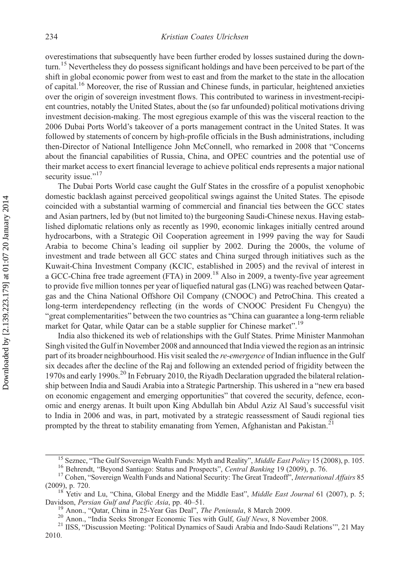overestimations that subsequently have been further eroded by losses sustained during the downturn.<sup>15</sup> Nevertheless they do possess significant holdings and have been perceived to be part of the shift in global economic power from west to east and from the market to the state in the allocation of capital.<sup>16</sup> Moreover, the rise of Russian and Chinese funds, in particular, heightened anxieties over the origin of sovereign investment flows. This contributed to wariness in investment-recipient countries, notably the United States, about the (so far unfounded) political motivations driving investment decision-making. The most egregious example of this was the visceral reaction to the 2006 Dubai Ports World's takeover of a ports management contract in the United States. It was followed by statements of concern by high-profile officials in the Bush administrations, including then-Director of National Intelligence John McConnell, who remarked in 2008 that "Concerns about the financial capabilities of Russia, China, and OPEC countries and the potential use of their market access to exert financial leverage to achieve political ends represents a major national security issue."<sup>17</sup>

The Dubai Ports World case caught the Gulf States in the crossfire of a populist xenophobic domestic backlash against perceived geopolitical swings against the United States. The episode coincided with a substantial warming of commercial and financial ties between the GCC states and Asian partners, led by (but not limited to) the burgeoning Saudi-Chinese nexus. Having established diplomatic relations only as recently as 1990, economic linkages initially centred around hydrocarbons, with a Strategic Oil Cooperation agreement in 1999 paving the way for Saudi Arabia to become China's leading oil supplier by 2002. During the 2000s, the volume of investment and trade between all GCC states and China surged through initiatives such as the Kuwait-China Investment Company (KCIC, established in 2005) and the revival of interest in a GCC-China free trade agreement (FTA) in 2009.18 Also in 2009, a twenty-five year agreement to provide five million tonnes per year of liquefied natural gas (LNG) was reached between Qatargas and the China National Offshore Oil Company (CNOOC) and PetroChina. This created a long-term interdependency reflecting (in the words of CNOOC President Fu Chengyu) the "great complementarities" between the two countries as "China can guarantee a long-term reliable market for Qatar, while Qatar can be a stable supplier for Chinese market".<sup>19</sup>

India also thickened its web of relationships with the Gulf States. Prime Minister Manmohan Singh visited the Gulf in November 2008 and announced that India viewed the region as an intrinsic part of its broader neighbourhood. His visit sealed the *re-emergence* of Indian influence in the Gulf six decades after the decline of the Raj and following an extended period of frigidity between the 1970s and early 1990s.<sup>20</sup> In February 2010, the Riyadh Declaration upgraded the bilateral relationship between India and Saudi Arabia into a Strategic Partnership. This ushered in a "new era based on economic engagement and emerging opportunities" that covered the security, defence, economic and energy arenas. It built upon King Abdullah bin Abdul Aziz Al Saud's successful visit to India in 2006 and was, in part, motivated by a strategic reassessment of Saudi regional ties prompted by the threat to stability emanating from Yemen, Afghanistan and Pakistan.<sup>21</sup>

<sup>&</sup>lt;sup>15</sup> Seznec, "The Gulf Sovereign Wealth Funds: Myth and Reality", *Middle East Policy* 15 (2008), p. 105.<br><sup>16</sup> Behrendt, "Beyond Santiago: Status and Prospects", *Central Banking* 19 (2009), p. 76.<br><sup>17</sup> Cohen, "Sovereign

<sup>(2009),</sup> p. 720. 18 Yetiv and Lu, "China, Global Energy and the Middle East", *Middle East Journal* 61 (2007), p. 5;<br>Davidson, *Persian Gulf and Pacific Asia*, pp. 40–51.

<sup>&</sup>lt;sup>19</sup> Anon., "Qatar, China in 25-Year Gas Deal", *The Peninsula*, 8 March 2009.<br><sup>20</sup> Anon., "India Seeks Stronger Economic Ties with Gulf, *Gulf News*, 8 November 2008.<br><sup>21</sup> IISS, "Discussion Meeting: 'Political Dynamics o 2010.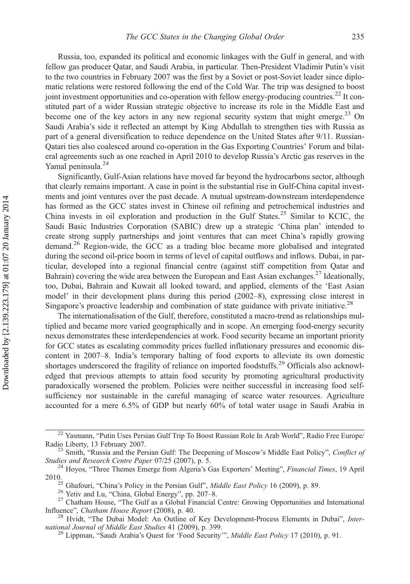Russia, too, expanded its political and economic linkages with the Gulf in general, and with fellow gas producer Qatar, and Saudi Arabia, in particular. Then-President Vladimir Putin's visit to the two countries in February 2007 was the first by a Soviet or post-Soviet leader since diplomatic relations were restored following the end of the Cold War. The trip was designed to boost joint investment opportunities and co-operation with fellow energy-producing countries.<sup>22</sup> It constituted part of a wider Russian strategic objective to increase its role in the Middle East and become one of the key actors in any new regional security system that might emerge.<sup>23</sup> On Saudi Arabia's side it reflected an attempt by King Abdullah to strengthen ties with Russia as part of a general diversification to reduce dependence on the United States after 9/11. Russian-Qatari ties also coalesced around co-operation in the Gas Exporting Countries' Forum and bilateral agreements such as one reached in April 2010 to develop Russia's Arctic gas reserves in the Yamal peninsula.<sup>24</sup>

Significantly, Gulf-Asian relations have moved far beyond the hydrocarbons sector, although that clearly remains important. A case in point is the substantial rise in Gulf-China capital investments and joint ventures over the past decade. A mutual upstream-downstream interdependence has formed as the GCC states invest in Chinese oil refining and petrochemical industries and China invests in oil exploration and production in the Gulf States.<sup>25</sup> Similar to KCIC, the Saudi Basic Industries Corporation (SABIC) drew up a strategic 'China plan' intended to create strong supply partnerships and joint ventures that can meet China's rapidly growing demand.<sup>26</sup> Region-wide, the GCC as a trading bloc became more globalised and integrated during the second oil-price boom in terms of level of capital outflows and inflows. Dubai, in particular, developed into a regional financial centre (against stiff competition from Qatar and Bahrain) covering the wide area between the European and East Asian exchanges.<sup>27</sup> Ideationally, too, Dubai, Bahrain and Kuwait all looked toward, and applied, elements of the 'East Asian model' in their development plans during this period (2002–8), expressing close interest in Singapore's proactive leadership and combination of state guidance with private initiative.<sup>28</sup>

The internationalisation of the Gulf, therefore, constituted a macro-trend as relationships multiplied and became more varied geographically and in scope. An emerging food-energy security nexus demonstrates these interdependencies at work. Food security became an important priority for GCC states as escalating commodity prices fuelled inflationary pressures and economic discontent in 2007–8. India's temporary halting of food exports to alleviate its own domestic shortages underscored the fragility of reliance on imported foodstuffs.<sup>29</sup> Officials also acknowledged that previous attempts to attain food security by promoting agricultural productivity paradoxically worsened the problem. Policies were neither successful in increasing food selfsufficiency nor sustainable in the careful managing of scarce water resources. Agriculture accounted for a mere 6.5% of GDP but nearly 60% of total water usage in Saudi Arabia in

<sup>&</sup>lt;sup>22</sup> Yasmann, "Putin Uses Persian Gulf Trip To Boost Russian Role In Arab World", Radio Free Europe/ Radio Liberty, 13 February 2007.<br><sup>23</sup> Smith, "Russia and the Persian Gulf: The Deepening of Moscow's Middle East Policy", Conflict of

Studies and Research Centre Paper 07/25 (2007), p. 5.<br><sup>24</sup> Hoyos, "Three Themes Emerge from Algeria's Gas Exporters' Meeting", *Financial Times*, 19 April 2010.

<sup>&</sup>lt;sup>25</sup> Ghafouri, "China's Policy in the Persian Gulf", *Middle East Policy* 16 (2009), p. 89.<br><sup>26</sup> Yetiv and Lu, "China, Global Energy", pp. 207–8.<br><sup>27</sup> Chatham House, "The Gulf as a Global Financial Centre: Growing Opportu

Influence", Chatham House Report (2008), p. 40.<br><sup>28</sup> Hvidt, "The Dubai Model: An Outline of Key Development-Process Elements in Dubai", *Inter-*<br>national Journal of Middle East Studies 41 (2009), p. 399.

<sup>&</sup>lt;sup>29</sup> Lippman, "Saudi Arabia's Quest for 'Food Security'", Middle East Policy 17 (2010), p. 91.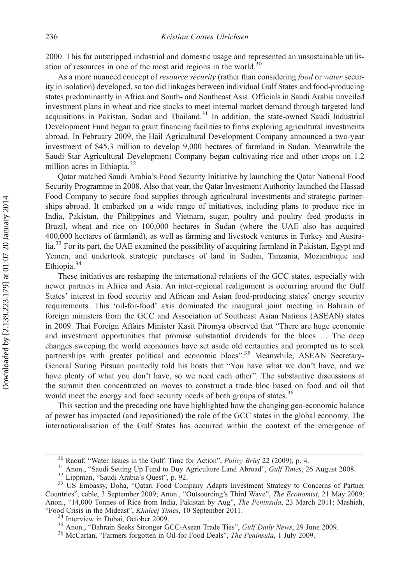2000. This far outstripped industrial and domestic usage and represented an unsustainable utilisation of resources in one of the most arid regions in the world.<sup>30</sup>

As a more nuanced concept of *resource security* (rather than considering *food* or *water* security in isolation) developed, so too did linkages between individual Gulf States and food-producing states predominantly in Africa and South- and Southeast Asia. Officials in Saudi Arabia unveiled investment plans in wheat and rice stocks to meet internal market demand through targeted land acquisitions in Pakistan, Sudan and Thailand.<sup>31</sup> In addition, the state-owned Saudi Industrial Development Fund began to grant financing facilities to firms exploring agricultural investments abroad. In February 2009, the Hail Agricultural Development Company announced a two-year investment of \$45.3 million to develop 9,000 hectares of farmland in Sudan. Meanwhile the Saudi Star Agricultural Development Company began cultivating rice and other crops on 1.2 million acres in Ethiopia.<sup>32</sup>

Qatar matched Saudi Arabia's Food Security Initiative by launching the Qatar National Food Security Programme in 2008. Also that year, the Qatar Investment Authority launched the Hassad Food Company to secure food supplies through agricultural investments and strategic partnerships abroad. It embarked on a wide range of initiatives, including plans to produce rice in India, Pakistan, the Philippines and Vietnam, sugar, poultry and poultry feed products in Brazil, wheat and rice on 100,000 hectares in Sudan (where the UAE also has acquired 400,000 hectares of farmland), as well as farming and livestock ventures in Turkey and Australia.<sup>33</sup> For its part, the UAE examined the possibility of acquiring farmland in Pakistan, Egypt and Yemen, and undertook strategic purchases of land in Sudan, Tanzania, Mozambique and Ethiopia.<sup>34</sup>

These initiatives are reshaping the international relations of the GCC states, especially with newer partners in Africa and Asia. An inter-regional realignment is occurring around the Gulf States' interest in food security and African and Asian food-producing states' energy security requirements. This 'oil-for-food' axis dominated the inaugural joint meeting in Bahrain of foreign ministers from the GCC and Association of Southeast Asian Nations (ASEAN) states in 2009. Thai Foreign Affairs Minister Kasit Piromya observed that "There are huge economic and investment opportunities that promise substantial dividends for the blocs … The deep changes sweeping the world economies have set aside old certainties and prompted us to seek partnerships with greater political and economic blocs".<sup>35</sup> Meanwhile, ASEAN Secretary-General Suring Pitsuan pointedly told his hosts that "You have what we don't have, and we have plenty of what you don't have, so we need each other". The substantive discussions at the summit then concentrated on moves to construct a trade bloc based on food and oil that would meet the energy and food security needs of both groups of states.<sup>36</sup>

This section and the preceding one have highlighted how the changing geo-economic balance of power has impacted (and repositioned) the role of the GCC states in the global economy. The internationalisation of the Gulf States has occurred within the context of the emergence of

<sup>&</sup>lt;sup>30</sup> Raouf, "Water Issues in the Gulf: Time for Action", *Policy Brief* 22 (2009), p. 4.<br><sup>31</sup> Anon., "Saudi Setting Up Fund to Buy Agriculture Land Abroad", *Gulf Times*, 26 August 2008.<br><sup>32</sup> Lippman, "Saudi Arabia's Ques Countries", cable, 3 September 2009; Anon., "Outsourcing's Third Wave", The Economist, 21 May 2009; Anon., "14,000 Tonnes of Rice from India, Pakistan by Aug", The Peninsula, 23 March 2011; Mashiah,

<sup>&</sup>quot;Food Crisis in the Mideast", *Khaleej Times*, 10 September 2011.<br><sup>34</sup> Interview in Dubai, October 2009.<br><sup>35</sup> Anon., "Bahrain Seeks Stronger GCC-Asean Trade Ties", *Gulf Daily News*, 29 June 2009.<br><sup>36</sup> McCartan, "Farmers f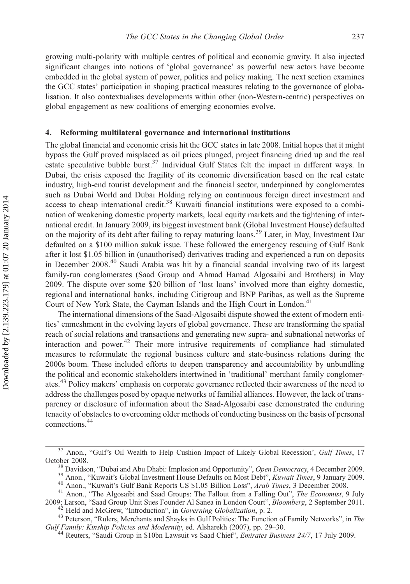growing multi-polarity with multiple centres of political and economic gravity. It also injected significant changes into notions of 'global governance' as powerful new actors have become embedded in the global system of power, politics and policy making. The next section examines the GCC states' participation in shaping practical measures relating to the governance of globalisation. It also contextualises developments within other (non-Western-centric) perspectives on global engagement as new coalitions of emerging economies evolve.

#### 4. Reforming multilateral governance and international institutions

The global financial and economic crisis hit the GCC states in late 2008. Initial hopes that it might bypass the Gulf proved misplaced as oil prices plunged, project financing dried up and the real estate speculative bubble burst.<sup>37</sup> Individual Gulf States felt the impact in different ways. In Dubai, the crisis exposed the fragility of its economic diversification based on the real estate industry, high-end tourist development and the financial sector, underpinned by conglomerates such as Dubai World and Dubai Holding relying on continuous foreign direct investment and access to cheap international credit.<sup>38</sup> Kuwaiti financial institutions were exposed to a combination of weakening domestic property markets, local equity markets and the tightening of international credit. In January 2009, its biggest investment bank (Global Investment House) defaulted on the majority of its debt after failing to repay maturing loans.39 Later, in May, Investment Dar defaulted on a \$100 million sukuk issue. These followed the emergency rescuing of Gulf Bank after it lost \$1.05 billion in (unauthorised) derivatives trading and experienced a run on deposits in December 2008.<sup>40</sup> Saudi Arabia was hit by a financial scandal involving two of its largest family-run conglomerates (Saad Group and Ahmad Hamad Algosaibi and Brothers) in May 2009. The dispute over some \$20 billion of 'lost loans' involved more than eighty domestic, regional and international banks, including Citigroup and BNP Paribas, as well as the Supreme Court of New York State, the Cayman Islands and the High Court in London.<sup>41</sup>

The international dimensions of the Saad-Algosaibi dispute showed the extent of modern entities' enmeshment in the evolving layers of global governance. These are transforming the spatial reach of social relations and transactions and generating new supra- and subnational networks of interaction and power.<sup>42</sup> Their more intrusive requirements of compliance had stimulated measures to reformulate the regional business culture and state-business relations during the 2000s boom. These included efforts to deepen transparency and accountability by unbundling the political and economic stakeholders intertwined in 'traditional' merchant family conglomerates.<sup>43</sup> Policy makers' emphasis on corporate governance reflected their awareness of the need to address the challenges posed by opaque networks of familial alliances. However, the lack of transparency or disclosure of information about the Saad-Algosaibi case demonstrated the enduring tenacity of obstacles to overcoming older methods of conducting business on the basis of personal connections.<sup>44</sup>

<sup>&</sup>lt;sup>37</sup> Anon., "Gulf's Oil Wealth to Help Cushion Impact of Likely Global Recession', Gulf Times, 17 October 2008.<br><sup>38</sup> Davidson, "Dubai and Abu Dhabi: Implosion and Opportunity", *Open Democracy*, 4 December 2009.<br><sup>39</sup> Anon., "Kuwait's Global Investment House Defaults on Most Debt", *Kuwait Times*, 9 January 2009.<br><sup>40</sup> A

<sup>2009;</sup> Larson, "Saad Group Unit Sues Founder Al Sanea in London Court", *Bloomberg*, 2 September 2011.<br><sup>42</sup> Held and McGrew, "Introduction", in *Governing Globalization*, p. 2.<br><sup>43</sup> Peterson, "Rulers, Merchants and Shayks i

Gulf Family: Kinship Policies and Modernity, ed. Alsharekh (2007), pp. 29–30. <sup>44</sup> Reuters, "Saudi Group in \$10bn Lawsuit vs Saad Chief", Emirates Business 24/7, 17 July 2009.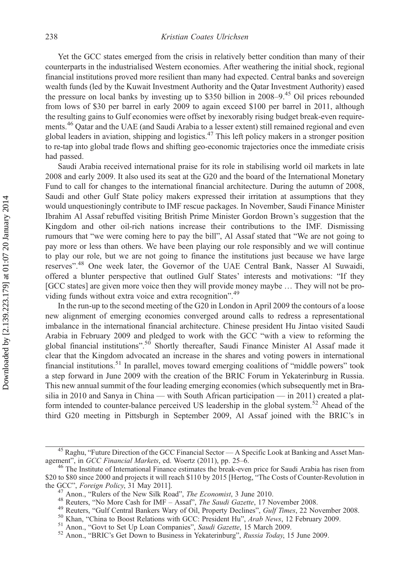Yet the GCC states emerged from the crisis in relatively better condition than many of their counterparts in the industrialised Western economies. After weathering the initial shock, regional financial institutions proved more resilient than many had expected. Central banks and sovereign wealth funds (led by the Kuwait Investment Authority and the Qatar Investment Authority) eased the pressure on local banks by investing up to  $$350$  billion in 2008–9.<sup>45</sup> Oil prices rebounded from lows of \$30 per barrel in early 2009 to again exceed \$100 per barrel in 2011, although the resulting gains to Gulf economies were offset by inexorably rising budget break-even requirements.<sup>46</sup> Qatar and the UAE (and Saudi Arabia to a lesser extent) still remained regional and even global leaders in aviation, shipping and logistics.<sup>47</sup> This left policy makers in a stronger position to re-tap into global trade flows and shifting geo-economic trajectories once the immediate crisis had passed.

Saudi Arabia received international praise for its role in stabilising world oil markets in late 2008 and early 2009. It also used its seat at the G20 and the board of the International Monetary Fund to call for changes to the international financial architecture. During the autumn of 2008, Saudi and other Gulf State policy makers expressed their irritation at assumptions that they would unquestioningly contribute to IMF rescue packages. In November, Saudi Finance Minister Ibrahim Al Assaf rebuffed visiting British Prime Minister Gordon Brown's suggestion that the Kingdom and other oil-rich nations increase their contributions to the IMF. Dismissing rumours that "we were coming here to pay the bill", Al Assaf stated that "We are not going to pay more or less than others. We have been playing our role responsibly and we will continue to play our role, but we are not going to finance the institutions just because we have large reserves". <sup>48</sup> One week later, the Governor of the UAE Central Bank, Nasser Al Suwaidi, offered a blunter perspective that outlined Gulf States' interests and motivations: "If they [GCC states] are given more voice then they will provide money maybe … They will not be providing funds without extra voice and extra recognition". 49

In the run-up to the second meeting of the G20 in London in April 2009 the contours of a loose new alignment of emerging economies converged around calls to redress a representational imbalance in the international financial architecture. Chinese president Hu Jintao visited Saudi Arabia in February 2009 and pledged to work with the GCC "with a view to reforming the global financial institutions".<sup>50</sup> Shortly thereafter, Saudi Finance Minister Al Assaf made it clear that the Kingdom advocated an increase in the shares and voting powers in international financial institutions.<sup>51</sup> In parallel, moves toward emerging coalitions of "middle powers" took a step forward in June 2009 with the creation of the BRIC Forum in Yekaterinburg in Russia. This new annual summit of the four leading emerging economies (which subsequently met in Brasilia in 2010 and Sanya in China — with South African participation — in 2011) created a platform intended to counter-balance perceived US leadership in the global system.<sup>52</sup> Ahead of the third G20 meeting in Pittsburgh in September 2009, Al Assaf joined with the BRIC's in

<sup>&</sup>lt;sup>45</sup> Raghu, "Future Direction of the GCC Financial Sector — A Specific Look at Banking and Asset Management", in GCC Financial Markets, ed. Woertz (2011), pp. 25–6.<br><sup>46</sup> The Institute of International Finance estimates the break-even price for Saudi Arabia has risen from

<sup>\$20</sup> to \$80 since 2000 and projects it will reach \$110 by 2015 [Hertog, "The Costs of Counter-Revolution in the GCC", *Foreign Policy*, 31 May 2011].

<sup>&</sup>lt;sup>47</sup> Anon., "Rulers of the New Silk Road", *The Economist*, 3 June 2010.<br><sup>48</sup> Reuters, "No More Cash for IMF – Assaf", *The Saudi Gazette*, 17 November 2008.<br><sup>49</sup> Reuters, "Gulf Central Bankers Wary of Oil, Property Decli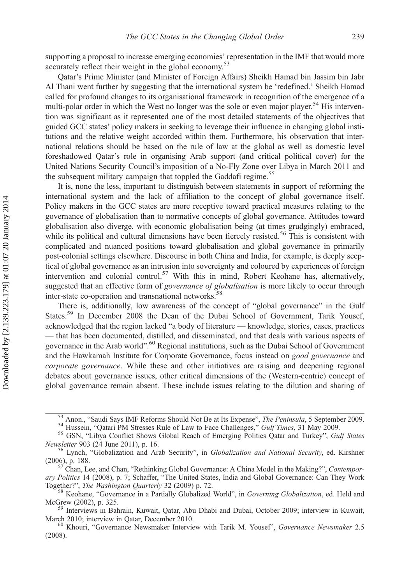supporting a proposal to increase emerging economies' representation in the IMF that would more accurately reflect their weight in the global economy.<sup>53</sup>

Qatar's Prime Minister (and Minister of Foreign Affairs) Sheikh Hamad bin Jassim bin Jabr Al Thani went further by suggesting that the international system be 'redefined.' Sheikh Hamad called for profound changes to its organisational framework in recognition of the emergence of a multi-polar order in which the West no longer was the sole or even major player.<sup>54</sup> His intervention was significant as it represented one of the most detailed statements of the objectives that guided GCC states' policy makers in seeking to leverage their influence in changing global institutions and the relative weight accorded within them. Furthermore, his observation that international relations should be based on the rule of law at the global as well as domestic level foreshadowed Qatar's role in organising Arab support (and critical political cover) for the United Nations Security Council's imposition of a No-Fly Zone over Libya in March 2011 and the subsequent military campaign that toppled the Gaddafi regime.<sup>55</sup>

It is, none the less, important to distinguish between statements in support of reforming the international system and the lack of affiliation to the concept of global governance itself. Policy makers in the GCC states are more receptive toward practical measures relating to the governance of globalisation than to normative concepts of global governance. Attitudes toward globalisation also diverge, with economic globalisation being (at times grudgingly) embraced, while its political and cultural dimensions have been fiercely resisted.<sup>56</sup> This is consistent with complicated and nuanced positions toward globalisation and global governance in primarily post-colonial settings elsewhere. Discourse in both China and India, for example, is deeply sceptical of global governance as an intrusion into sovereignty and coloured by experiences of foreign intervention and colonial control.<sup>57</sup> With this in mind, Robert Keohane has, alternatively, suggested that an effective form of *governance of globalisation* is more likely to occur through inter-state co-operation and transnational networks.<sup>58</sup>

There is, additionally, low awareness of the concept of "global governance" in the Gulf States.<sup>59</sup> In December 2008 the Dean of the Dubai School of Government, Tarik Yousef, acknowledged that the region lacked "a body of literature — knowledge, stories, cases, practices — that has been documented, distilled, and disseminated, and that deals with various aspects of governance in the Arab world".<sup>60</sup> Regional institutions, such as the Dubai School of Government and the Hawkamah Institute for Corporate Governance, focus instead on good governance and corporate governance. While these and other initiatives are raising and deepening regional debates about governance issues, other critical dimensions of the (Western-centric) concept of global governance remain absent. These include issues relating to the dilution and sharing of

<sup>&</sup>lt;sup>53</sup> Anon., "Saudi Says IMF Reforms Should Not Be at Its Expense", *The Peninsula*, 5 September 2009.<br><sup>54</sup> Hussein, "Qatari PM Stresses Rule of Law to Face Challenges," *Gulf Times*, 31 May 2009.<br><sup>55</sup> GSN, "Libya Conflict

Newsletter 903 (24 June 2011), p. 16. <sup>56</sup> Lynch, "Globalization and Arab Security", in Globalization and National Security, ed. Kirshner

<sup>(2006),</sup> p. 188.  $57$  Chan, Lee, and Chan, "Rethinking Global Governance: A China Model in the Making?", *Contempor-*

ary Politics 14 (2008), p. 7; Schaffer, "The United States, India and Global Governance: Can They Work Together?", The Washington Quarterly 32 (2009) p. 72.<br><sup>58</sup> Keohane, "Governance in a Partially Globalized World", in Governing Globalization, ed. Held and

McGrew (2002), p. 325.<br><sup>59</sup> Interviews in Bahrain, Kuwait, Qatar, Abu Dhabi and Dubai, October 2009; interview in Kuwait, March 2010; interview in Qatar, December 2010.

 $^{60}$  Khouri, "Governance Newsmaker Interview with Tarik M. Yousef", Governance Newsmaker 2.5 (2008).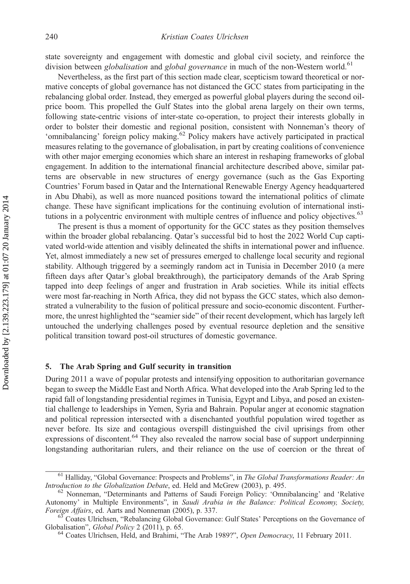state sovereignty and engagement with domestic and global civil society, and reinforce the division between globalisation and global governance in much of the non-Western world.<sup>61</sup>

Nevertheless, as the first part of this section made clear, scepticism toward theoretical or normative concepts of global governance has not distanced the GCC states from participating in the rebalancing global order. Instead, they emerged as powerful global players during the second oilprice boom. This propelled the Gulf States into the global arena largely on their own terms, following state-centric visions of inter-state co-operation, to project their interests globally in order to bolster their domestic and regional position, consistent with Nonneman's theory of 'omnibalancing' foreign policy making.<sup>62</sup> Policy makers have actively participated in practical measures relating to the governance of globalisation, in part by creating coalitions of convenience with other major emerging economies which share an interest in reshaping frameworks of global engagement. In addition to the international financial architecture described above, similar patterns are observable in new structures of energy governance (such as the Gas Exporting Countries' Forum based in Qatar and the International Renewable Energy Agency headquartered in Abu Dhabi), as well as more nuanced positions toward the international politics of climate change. These have significant implications for the continuing evolution of international institutions in a polycentric environment with multiple centres of influence and policy objectives.<sup>63</sup>

The present is thus a moment of opportunity for the GCC states as they position themselves within the broader global rebalancing. Qatar's successful bid to host the 2022 World Cup captivated world-wide attention and visibly delineated the shifts in international power and influence. Yet, almost immediately a new set of pressures emerged to challenge local security and regional stability. Although triggered by a seemingly random act in Tunisia in December 2010 (a mere fifteen days after Qatar's global breakthrough), the participatory demands of the Arab Spring tapped into deep feelings of anger and frustration in Arab societies. While its initial effects were most far-reaching in North Africa, they did not bypass the GCC states, which also demonstrated a vulnerability to the fusion of political pressure and socio-economic discontent. Furthermore, the unrest highlighted the "seamier side" of their recent development, which has largely left untouched the underlying challenges posed by eventual resource depletion and the sensitive political transition toward post-oil structures of domestic governance.

#### 5. The Arab Spring and Gulf security in transition

During 2011 a wave of popular protests and intensifying opposition to authoritarian governance began to sweep the Middle East and North Africa. What developed into the Arab Spring led to the rapid fall of longstanding presidential regimes in Tunisia, Egypt and Libya, and posed an existential challenge to leaderships in Yemen, Syria and Bahrain. Popular anger at economic stagnation and political repression intersected with a disenchanted youthful population wired together as never before. Its size and contagious overspill distinguished the civil uprisings from other expressions of discontent.<sup>64</sup> They also revealed the narrow social base of support underpinning longstanding authoritarian rulers, and their reliance on the use of coercion or the threat of

<sup>&</sup>lt;sup>61</sup> Halliday, "Global Governance: Prospects and Problems", in The Global Transformations Reader: An Introduction to the Globalization Debate, ed. Held and McGrew (2003), p. 495.<br><sup>62</sup> Nonneman, "Determinants and Patterns of Saudi Foreign Policy: 'Omnibalancing' and 'Relative

Autonomy' in Multiple Environments", in Saudi Arabia in the Balance: Political Economy, Society, Foreign Affairs, ed. Aarts and Nonneman (2005), p. 337.

 $^{63}$  Coates Ulrichsen, "Rebalancing Global Governance: Gulf States' Perceptions on the Governance of Globalisation", *Global Policy* 2 (2011), p. 65.

<sup>&</sup>lt;sup>64</sup> Coates Ulrichsen, Held, and Brahimi, "The Arab 1989?", Open Democracy, 11 February 2011.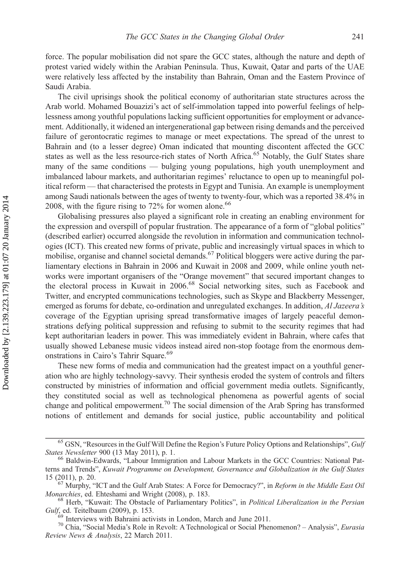force. The popular mobilisation did not spare the GCC states, although the nature and depth of protest varied widely within the Arabian Peninsula. Thus, Kuwait, Qatar and parts of the UAE were relatively less affected by the instability than Bahrain, Oman and the Eastern Province of Saudi Arabia.

The civil uprisings shook the political economy of authoritarian state structures across the Arab world. Mohamed Bouazizi's act of self-immolation tapped into powerful feelings of helplessness among youthful populations lacking sufficient opportunities for employment or advancement. Additionally, it widened an intergenerational gap between rising demands and the perceived failure of gerontocratic regimes to manage or meet expectations. The spread of the unrest to Bahrain and (to a lesser degree) Oman indicated that mounting discontent affected the GCC states as well as the less resource-rich states of North Africa.<sup>65</sup> Notably, the Gulf States share many of the same conditions — bulging young populations, high youth unemployment and imbalanced labour markets, and authoritarian regimes' reluctance to open up to meaningful political reform — that characterised the protests in Egypt and Tunisia. An example is unemployment among Saudi nationals between the ages of twenty to twenty-four, which was a reported 38.4% in 2008, with the figure rising to  $72\%$  for women alone.<sup>66</sup>

Globalising pressures also played a significant role in creating an enabling environment for the expression and overspill of popular frustration. The appearance of a form of "global politics" (described earlier) occurred alongside the revolution in information and communication technologies (ICT). This created new forms of private, public and increasingly virtual spaces in which to mobilise, organise and channel societal demands.<sup>67</sup> Political bloggers were active during the parliamentary elections in Bahrain in 2006 and Kuwait in 2008 and 2009, while online youth networks were important organisers of the "Orange movement" that secured important changes to the electoral process in Kuwait in 2006.<sup>68</sup> Social networking sites, such as Facebook and Twitter, and encrypted communications technologies, such as Skype and Blackberry Messenger, emerged as forums for debate, co-ordination and unregulated exchanges. In addition, Al Jazeera's coverage of the Egyptian uprising spread transformative images of largely peaceful demonstrations defying political suppression and refusing to submit to the security regimes that had kept authoritarian leaders in power. This was immediately evident in Bahrain, where cafes that usually showed Lebanese music videos instead aired non-stop footage from the enormous demonstrations in Cairo's Tahrir Square.<sup>69</sup>

These new forms of media and communication had the greatest impact on a youthful generation who are highly technology-savvy. Their synthesis eroded the system of controls and filters constructed by ministries of information and official government media outlets. Significantly, they constituted social as well as technological phenomena as powerful agents of social change and political empowerment.<sup>70</sup> The social dimension of the Arab Spring has transformed notions of entitlement and demands for social justice, public accountability and political

<sup>&</sup>lt;sup>65</sup> GSN, "Resources in the Gulf Will Define the Region's Future Policy Options and Relationships", Gulf States Newsletter 900 (13 May 2011), p. 1.<br><sup>66</sup> Baldwin-Edwards, "Labour Immigration and Labour Markets in the GCC Countries: National Pat-

terns and Trends", Kuwait Programme on Development, Governance and Globalization in the Gulf States 15 (2011), p. 20.<br><sup>67</sup> Murphy, "ICT and the Gulf Arab States: A Force for Democracy?", in *Reform in the Middle East Oil* 

Monarchies, ed. Ehteshami and Wright (2008), p. 183.<br><sup>68</sup> Herb, "Kuwait: The Obstacle of Parliamentary Politics", in *Political Liberalization in the Persian* 

Gulf, ed. Teitelbaum (2009), p. 153.<br><sup>69</sup> Interviews with Bahraini activists in London, March and June 2011.

<sup>&</sup>lt;sup>70</sup> Chia, "Social Media's Role in Revolt: A Technological or Social Phenomenon? – Analysis", Eurasia Review News & Analysis, 22 March 2011.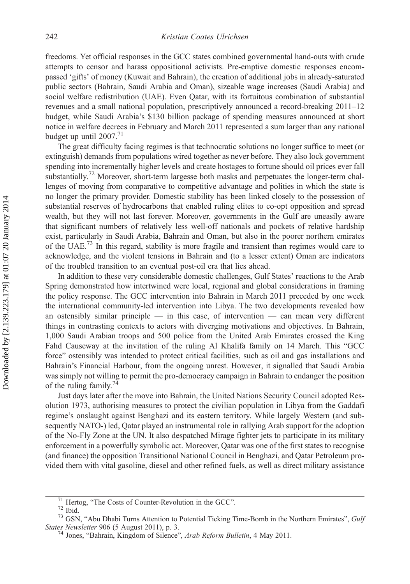freedoms. Yet official responses in the GCC states combined governmental hand-outs with crude attempts to censor and harass oppositional activists. Pre-emptive domestic responses encompassed 'gifts' of money (Kuwait and Bahrain), the creation of additional jobs in already-saturated public sectors (Bahrain, Saudi Arabia and Oman), sizeable wage increases (Saudi Arabia) and social welfare redistribution (UAE). Even Qatar, with its fortuitous combination of substantial revenues and a small national population, prescriptively announced a record-breaking 2011–12 budget, while Saudi Arabia's \$130 billion package of spending measures announced at short notice in welfare decrees in February and March 2011 represented a sum larger than any national budget up until 2007.<sup>71</sup>

The great difficulty facing regimes is that technocratic solutions no longer suffice to meet (or extinguish) demands from populations wired together as never before. They also lock government spending into incrementally higher levels and create hostages to fortune should oil prices ever fall substantially.<sup>72</sup> Moreover, short-term largesse both masks and perpetuates the longer-term challenges of moving from comparative to competitive advantage and polities in which the state is no longer the primary provider. Domestic stability has been linked closely to the possession of substantial reserves of hydrocarbons that enabled ruling elites to co-opt opposition and spread wealth, but they will not last forever. Moreover, governments in the Gulf are uneasily aware that significant numbers of relatively less well-off nationals and pockets of relative hardship exist, particularly in Saudi Arabia, Bahrain and Oman, but also in the poorer northern emirates of the UAE.<sup>73</sup> In this regard, stability is more fragile and transient than regimes would care to acknowledge, and the violent tensions in Bahrain and (to a lesser extent) Oman are indicators of the troubled transition to an eventual post-oil era that lies ahead.

In addition to these very considerable domestic challenges, Gulf States' reactions to the Arab Spring demonstrated how intertwined were local, regional and global considerations in framing the policy response. The GCC intervention into Bahrain in March 2011 preceded by one week the international community-led intervention into Libya. The two developments revealed how an ostensibly similar principle — in this case, of intervention — can mean very different things in contrasting contexts to actors with diverging motivations and objectives. In Bahrain, 1,000 Saudi Arabian troops and 500 police from the United Arab Emirates crossed the King Fahd Causeway at the invitation of the ruling Al Khalifa family on 14 March. This "GCC force" ostensibly was intended to protect critical facilities, such as oil and gas installations and Bahrain's Financial Harbour, from the ongoing unrest. However, it signalled that Saudi Arabia was simply not willing to permit the pro-democracy campaign in Bahrain to endanger the position of the ruling family.<sup>74</sup>

Just days later after the move into Bahrain, the United Nations Security Council adopted Resolution 1973, authorising measures to protect the civilian population in Libya from the Gaddafi regime's onslaught against Benghazi and its eastern territory. While largely Western (and subsequently NATO-) led, Qatar played an instrumental role in rallying Arab support for the adoption of the No-Fly Zone at the UN. It also despatched Mirage fighter jets to participate in its military enforcement in a powerfully symbolic act. Moreover, Qatar was one of the first states to recognise (and finance) the opposition Transitional National Council in Benghazi, and Qatar Petroleum provided them with vital gasoline, diesel and other refined fuels, as well as direct military assistance

<sup>&</sup>lt;sup>71</sup> Hertog, "The Costs of Counter-Revolution in the GCC".<br><sup>72</sup> Ibid. <sup>73</sup> GSN, "Abu Dhabi Turns Attention to Potential Ticking Time-Bomb in the Northern Emirates", *Gulf States Newsletter* 906 (5 August 2011), p. 3.

 $^{74}$  Jones, "Bahrain, Kingdom of Silence", Arab Reform Bulletin, 4 May 2011.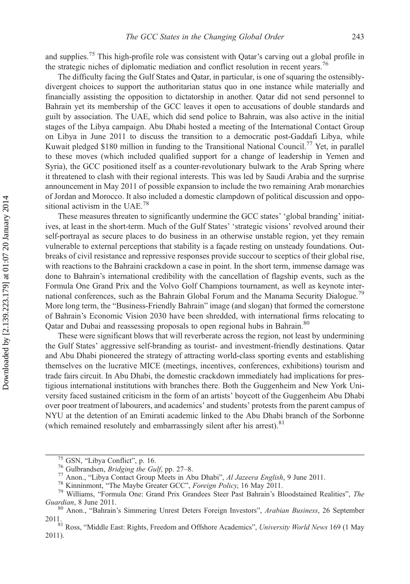and supplies.<sup>75</sup> This high-profile role was consistent with Qatar's carving out a global profile in the strategic niches of diplomatic mediation and conflict resolution in recent years.<sup>76</sup>

The difficulty facing the Gulf States and Qatar, in particular, is one of squaring the ostensiblydivergent choices to support the authoritarian status quo in one instance while materially and financially assisting the opposition to dictatorship in another. Qatar did not send personnel to Bahrain yet its membership of the GCC leaves it open to accusations of double standards and guilt by association. The UAE, which did send police to Bahrain, was also active in the initial stages of the Libya campaign. Abu Dhabi hosted a meeting of the International Contact Group on Libya in June 2011 to discuss the transition to a democratic post-Gaddafi Libya, while Kuwait pledged \$180 million in funding to the Transitional National Council.<sup>77</sup> Yet, in parallel to these moves (which included qualified support for a change of leadership in Yemen and Syria), the GCC positioned itself as a counter-revolutionary bulwark to the Arab Spring where it threatened to clash with their regional interests. This was led by Saudi Arabia and the surprise announcement in May 2011 of possible expansion to include the two remaining Arab monarchies of Jordan and Morocco. It also included a domestic clampdown of political discussion and oppositional activism in the UAE.<sup>78</sup>

These measures threaten to significantly undermine the GCC states' 'global branding' initiatives, at least in the short-term. Much of the Gulf States' 'strategic visions' revolved around their self-portrayal as secure places to do business in an otherwise unstable region, yet they remain vulnerable to external perceptions that stability is a façade resting on unsteady foundations. Outbreaks of civil resistance and repressive responses provide succour to sceptics of their global rise, with reactions to the Bahraini crackdown a case in point. In the short term, immense damage was done to Bahrain's international credibility with the cancellation of flagship events, such as the Formula One Grand Prix and the Volvo Golf Champions tournament, as well as keynote international conferences, such as the Bahrain Global Forum and the Manama Security Dialogue.<sup>79</sup> More long term, the "Business-Friendly Bahrain" image (and slogan) that formed the cornerstone of Bahrain's Economic Vision 2030 have been shredded, with international firms relocating to Qatar and Dubai and reassessing proposals to open regional hubs in Bahrain.<sup>80</sup>

These were significant blows that will reverberate across the region, not least by undermining the Gulf States' aggressive self-branding as tourist- and investment-friendly destinations. Qatar and Abu Dhabi pioneered the strategy of attracting world-class sporting events and establishing themselves on the lucrative MICE (meetings, incentives, conferences, exhibitions) tourism and trade fairs circuit. In Abu Dhabi, the domestic crackdown immediately had implications for prestigious international institutions with branches there. Both the Guggenheim and New York University faced sustained criticism in the form of an artists' boycott of the Guggenheim Abu Dhabi over poor treatment of labourers, and academics' and students' protests from the parent campus of NYU at the detention of an Emirati academic linked to the Abu Dhabi branch of the Sorbonne (which remained resolutely and embarrassingly silent after his arrest).<sup>81</sup>

<sup>&</sup>lt;sup>75</sup> GSN, "Libya Conflict", p. 16.<br><sup>76</sup> Gulbrandsen, *Bridging the Gulf*, pp. 27–8.<br><sup>77</sup> Anon., "Libya Contact Group Meets in Abu Dhabi", *Al Jazeera English*, 9 June 2011.<br><sup>78</sup> Kinninmont, "The Maybe Greater GCC", *Forei* 

Guardian, 8 June 2011. <sup>80</sup> Anon., "Bahrain's Simmering Unrest Deters Foreign Investors", Arabian Business, 26 September 2011.<br><sup>81</sup> Ross, "Middle East: Rights, Freedom and Offshore Academics", *University World News* 169 (1 May

<sup>2011).</sup>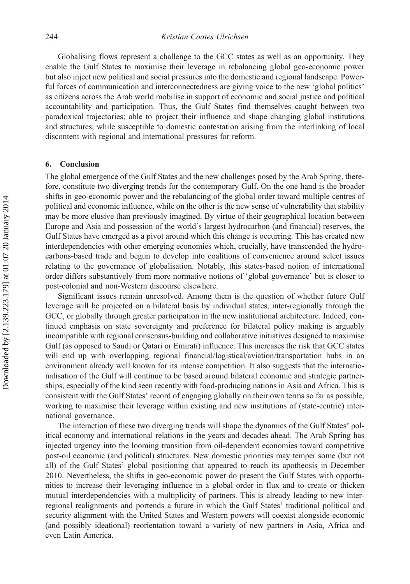Globalising flows represent a challenge to the GCC states as well as an opportunity. They enable the Gulf States to maximise their leverage in rebalancing global geo-economic power but also inject new political and social pressures into the domestic and regional landscape. Powerful forces of communication and interconnectedness are giving voice to the new 'global politics' as citizens across the Arab world mobilise in support of economic and social justice and political accountability and participation. Thus, the Gulf States find themselves caught between two paradoxical trajectories; able to project their influence and shape changing global institutions and structures, while susceptible to domestic contestation arising from the interlinking of local discontent with regional and international pressures for reform.

#### 6. Conclusion

The global emergence of the Gulf States and the new challenges posed by the Arab Spring, therefore, constitute two diverging trends for the contemporary Gulf. On the one hand is the broader shifts in geo-economic power and the rebalancing of the global order toward multiple centres of political and economic influence, while on the other is the new sense of vulnerability that stability may be more elusive than previously imagined. By virtue of their geographical location between Europe and Asia and possession of the world's largest hydrocarbon (and financial) reserves, the Gulf States have emerged as a pivot around which this change is occurring. This has created new interdependencies with other emerging economies which, crucially, have transcended the hydrocarbons-based trade and begun to develop into coalitions of convenience around select issues relating to the governance of globalisation. Notably, this states-based notion of international order differs substantively from more normative notions of 'global governance' but is closer to post-colonial and non-Western discourse elsewhere.

Significant issues remain unresolved. Among them is the question of whether future Gulf leverage will be projected on a bilateral basis by individual states, inter-regionally through the GCC, or globally through greater participation in the new institutional architecture. Indeed, continued emphasis on state sovereignty and preference for bilateral policy making is arguably incompatible with regional consensus-building and collaborative initiatives designed to maximise Gulf (as opposed to Saudi or Qatari or Emirati) influence. This increases the risk that GCC states will end up with overlapping regional financial/logistical/aviation/transportation hubs in an environment already well known for its intense competition. It also suggests that the internationalisation of the Gulf will continue to be based around bilateral economic and strategic partnerships, especially of the kind seen recently with food-producing nations in Asia and Africa. This is consistent with the Gulf States' record of engaging globally on their own terms so far as possible, working to maximise their leverage within existing and new institutions of (state-centric) international governance.

The interaction of these two diverging trends will shape the dynamics of the Gulf States' political economy and international relations in the years and decades ahead. The Arab Spring has injected urgency into the looming transition from oil-dependent economies toward competitive post-oil economic (and political) structures. New domestic priorities may temper some (but not all) of the Gulf States' global positioning that appeared to reach its apotheosis in December 2010. Nevertheless, the shifts in geo-economic power do present the Gulf States with opportunities to increase their leveraging influence in a global order in flux and to create or thicken mutual interdependencies with a multiplicity of partners. This is already leading to new interregional realignments and portends a future in which the Gulf States' traditional political and security alignment with the United States and Western powers will coexist alongside economic (and possibly ideational) reorientation toward a variety of new partners in Asia, Africa and even Latin America.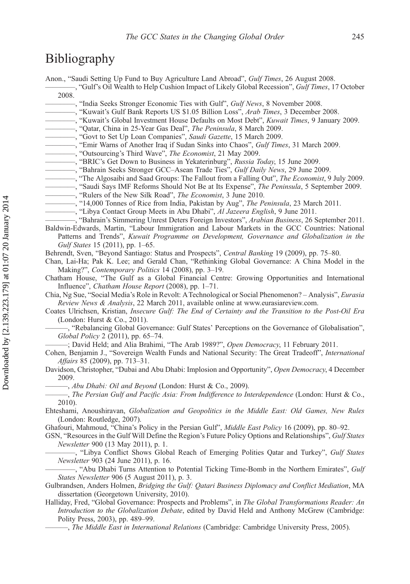## Bibliography

Anon., "Saudi Setting Up Fund to Buy Agriculture Land Abroad", Gulf Times, 26 August 2008.

- -, "Gulf's Oil Wealth to Help Cushion Impact of Likely Global Recession", Gulf Times, 17 October 2008.
	- -, "India Seeks Stronger Economic Ties with Gulf", Gulf News, 8 November 2008.
	- -----------, "Kuwait's Gulf Bank Reports US \$1.05 Billion Loss", Arab Times, 3 December 2008.
	- ––––––––, "Kuwait's Global Investment House Defaults on Most Debt", Kuwait Times, 9 January 2009.
	- -, "Qatar, China in 25-Year Gas Deal", The Peninsula, 8 March 2009.
	- -, "Govt to Set Up Loan Companies", Saudi Gazette, 15 March 2009.
		- -, "Emir Warns of Another Iraq if Sudan Sinks into Chaos", Gulf Times, 31 March 2009.
- ––––––––, "Outsourcing's Third Wave", The Economist, 21 May 2009.
- ––––––––, "BRIC's Get Down to Business in Yekaterinburg", Russia Today, 15 June 2009.
- ---, "Bahrain Seeks Stronger GCC-Asean Trade Ties", Gulf Daily News, 29 June 2009.
- ----------, "The Algosaibi and Saad Groups: The Fallout from a Falling Out", The Economist, 9 July 2009.
- -, "Saudi Says IMF Reforms Should Not Be at Its Expense", The Peninsula, 5 September 2009.
- ––––––––, "Rulers of the New Silk Road", The Economist, 3 June 2010.
- ––––––––, "14,000 Tonnes of Rice from India, Pakistan by Aug", The Peninsula, 23 March 2011.
- -, "Libya Contact Group Meets in Abu Dhabi", Al Jazeera English, 9 June 2011.
- –, "Bahrain's Simmering Unrest Deters Foreign Investors", Arabian Business, 26 September 2011.

Baldwin-Edwards, Martin, "Labour Immigration and Labour Markets in the GCC Countries: National Patterns and Trends", Kuwait Programme on Development, Governance and Globalization in the Gulf States 15 (2011), pp. 1–65.

Behrendt, Sven, "Beyond Santiago: Status and Prospects", Central Banking 19 (2009), pp. 75–80.

- Chan, Lai-Ha; Pak K. Lee; and Gerald Chan, "Rethinking Global Governance: A China Model in the Making?", Contemporary Politics 14 (2008), pp. 3–19.
- Chatham House, "The Gulf as a Global Financial Centre: Growing Opportunities and International Influence", Chatham House Report (2008), pp. 1–71.
- Chia, Ng Sue, "Social Media's Role in Revolt: ATechnological or Social Phenomenon? Analysis", Eurasia Review News & Analysis, 22 March 2011, available online at www.eurasiareview.com.
- Coates Ulrichsen, Kristian, Insecure Gulf: The End of Certainty and the Transition to the Post-Oil Era (London: Hurst & Co., 2011).
	- ––––––, "Rebalancing Global Governance: Gulf States' Perceptions on the Governance of Globalisation", Global Policy 2 (2011), pp. 65–74.

––––––; David Held; and Alia Brahimi, "The Arab 1989?", Open Democracy, 11 February 2011.

- Cohen, Benjamin J., "Sovereign Wealth Funds and National Security: The Great Tradeoff", International Affairs 85 (2009), pp. 713–31.
- Davidson, Christopher, "Dubai and Abu Dhabi: Implosion and Opportunity", Open Democracy, 4 December 2009.
	- -, Abu Dhabi: Oil and Beyond (London: Hurst & Co., 2009).
	- ––––––, The Persian Gulf and Pacific Asia: From Indifference to Interdependence (London: Hurst & Co., 2010).
- Ehteshami, Anoushiravan, Globalization and Geopolitics in the Middle East: Old Games, New Rules (London: Routledge, 2007).
- Ghafouri, Mahmoud, "China's Policy in the Persian Gulf", Middle East Policy 16 (2009), pp. 80–92.
- GSN, "Resources in the Gulf Will Define the Region's Future Policy Options and Relationships", Gulf States Newsletter 900 (13 May 2011), p. 1.
	- –, "Libya Conflict Shows Global Reach of Emerging Polities Qatar and Turkey", Gulf States Newsletter 903 (24 June 2011), p. 16.
	- –, "Abu Dhabi Turns Attention to Potential Ticking Time-Bomb in the Northern Emirates", Gulf States Newsletter 906 (5 August 2011), p. 3.
- Gulbrandsen, Anders Holmen, Bridging the Gulf: Qatari Business Diplomacy and Conflict Mediation, MA dissertation (Georgetown University, 2010).
- Halliday, Fred, "Global Governance: Prospects and Problems", in The Global Transformations Reader: An Introduction to the Globalization Debate, edited by David Held and Anthony McGrew (Cambridge: Polity Press, 2003), pp. 489–99.
	- ––––––, The Middle East in International Relations (Cambridge: Cambridge University Press, 2005).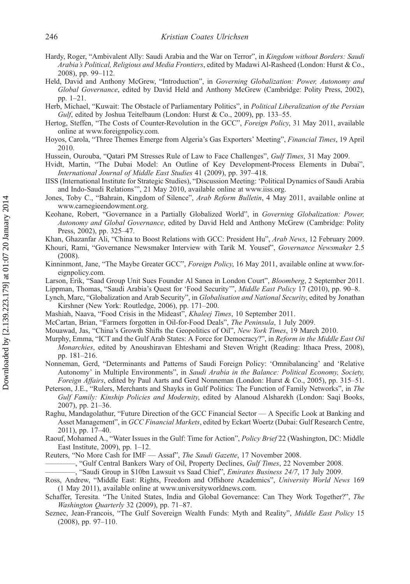- Hardy, Roger, "Ambivalent Ally: Saudi Arabia and the War on Terror", in Kingdom without Borders: Saudi Arabia's Political, Religious and Media Frontiers, edited by Madawi Al-Rasheed (London: Hurst & Co., 2008), pp. 99–112.
- Held, David and Anthony McGrew, "Introduction", in Governing Globalization: Power, Autonomy and Global Governance, edited by David Held and Anthony McGrew (Cambridge: Polity Press, 2002), pp. 1–21.
- Herb, Michael, "Kuwait: The Obstacle of Parliamentary Politics", in Political Liberalization of the Persian Gulf, edited by Joshua Teitelbaum (London: Hurst & Co., 2009), pp. 133–55.
- Hertog, Steffen, "The Costs of Counter-Revolution in the GCC", Foreign Policy, 31 May 2011, available online at www.foreignpolicy.com.
- Hoyos, Carola, "Three Themes Emerge from Algeria's Gas Exporters' Meeting", Financial Times, 19 April 2010.
- Hussein, Ourouba, "Qatari PM Stresses Rule of Law to Face Challenges", Gulf Times, 31 May 2009.
- Hvidt, Martin, "The Dubai Model: An Outline of Key Development-Process Elements in Dubai", International Journal of Middle East Studies 41 (2009), pp. 397–418.
- IISS (International Institute for Strategic Studies), "Discussion Meeting: 'Political Dynamics of Saudi Arabia and Indo-Saudi Relations'", 21 May 2010, available online at www.iiss.org.
- Jones, Toby C., "Bahrain, Kingdom of Silence", Arab Reform Bulletin, 4 May 2011, available online at www.carnegieendowment.org.
- Keohane, Robert, "Governance in a Partially Globalized World", in Governing Globalization: Power, Autonomy and Global Governance, edited by David Held and Anthony McGrew (Cambridge: Polity Press, 2002), pp. 325–47.
- Khan, Ghazanfar Ali, "China to Boost Relations with GCC: President Hu", Arab News, 12 February 2009.
- Khouri, Rami, "Governance Newsmaker Interview with Tarik M. Yousef", Governance Newsmaker 2.5 (2008).
- Kinninmont, Jane, "The Maybe Greater GCC", Foreign Policy, 16 May 2011, available online at www.foreignpolicy.com.
- Larson, Erik, "Saad Group Unit Sues Founder Al Sanea in London Court", Bloomberg, 2 September 2011.
- Lippman, Thomas, "Saudi Arabia's Quest for 'Food Security'", Middle East Policy 17 (2010), pp. 90-8.
- Lynch, Marc, "Globalization and Arab Security", in Globalisation and National Security, edited by Jonathan Kirshner (New York: Routledge, 2006), pp. 171–200.
- Mashiah, Naava, "Food Crisis in the Mideast", Khaleej Times, 10 September 2011.
- McCartan, Brian, "Farmers forgotten in Oil-for-Food Deals", The Peninsula, 1 July 2009.
- Mouawad, Jas, "China's Growth Shifts the Geopolitics of Oil", New York Times, 19 March 2010.
- Murphy, Emma, "ICT and the Gulf Arab States: A Force for Democracy?", in Reform in the Middle East Oil Monarchies, edited by Anoushiravan Ehteshami and Steven Wright (Reading: Ithaca Press, 2008), pp. 181–216.
- Nonneman, Gerd, "Determinants and Patterns of Saudi Foreign Policy: 'Omnibalancing' and 'Relative Autonomy' in Multiple Environments", in Saudi Arabia in the Balance: Political Economy, Society, Foreign Affairs, edited by Paul Aarts and Gerd Nonneman (London: Hurst & Co., 2005), pp. 315–51.
- Peterson, J.E., "Rulers, Merchants and Shayks in Gulf Politics: The Function of Family Networks", in The Gulf Family: Kinship Policies and Modernity, edited by Alanoud Alsharekh (London: Saqi Books, 2007), pp. 21–36.
- Raghu, Mandagolathur, "Future Direction of the GCC Financial Sector –– A Specific Look at Banking and Asset Management", in GCC Financial Markets, edited by Eckart Woertz (Dubai: Gulf Research Centre, 2011), pp. 17–40.
- Raouf, Mohamed A., "Water Issues in the Gulf: Time for Action", Policy Brief 22 (Washington, DC: Middle East Institute, 2009), pp. 1–12.
- Reuters, "No More Cash for IMF Assaf", The Saudi Gazette, 17 November 2008.
	- -, "Gulf Central Bankers Wary of Oil, Property Declines, Gulf Times, 22 November 2008.
	- -, "Saudi Group in \$10bn Lawsuit vs Saad Chief", Emirates Business 24/7, 17 July 2009.
- Ross, Andrew, "Middle East: Rights, Freedom and Offshore Academics", University World News 169 (1 May 2011), available online at www.universityworldnews.com.
- Schaffer, Teresita. "The United States, India and Global Governance: Can They Work Together?", The Washington Quarterly 32 (2009), pp. 71–87.
- Seznec, Jean-Francois, "The Gulf Sovereign Wealth Funds: Myth and Reality", Middle East Policy 15 (2008), pp. 97–110.